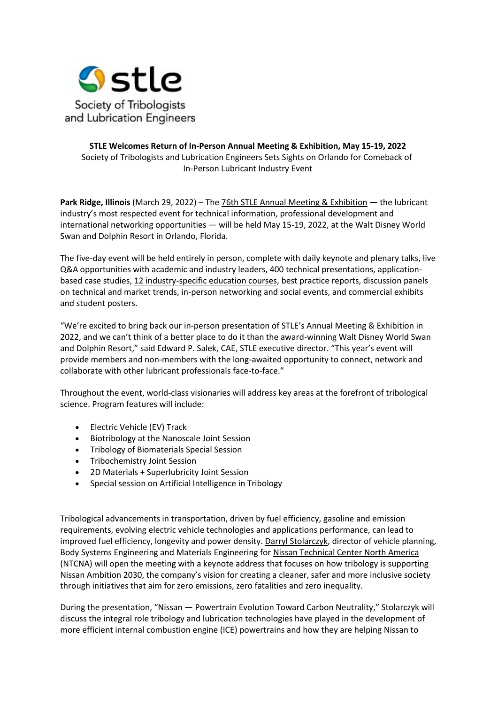

## **STLE Welcomes Return of In-Person Annual Meeting & Exhibition, May 15-19, 2022** Society of Tribologists and Lubrication Engineers Sets Sights on Orlando for Comeback of In-Person Lubricant Industry Event

**Park Ridge, Illinois** (March 29, 2022) ─ The [76th STLE Annual Meeting & Exhibition](https://www.stle.org/annualmeeting) — the lubricant industry's most respected event for technical information, professional development and international networking opportunities — will be held May 15-19, 2022, at the Walt Disney World Swan and Dolphin Resort in Orlando, Florida.

The five-day event will be held entirely in person, complete with daily keynote and plenary talks, live Q&A opportunities with academic and industry leaders, 400 technical presentations, applicationbased case studies, [12 industry-specific education courses,](https://www.stle.org/AnnualMeeting/edu) best practice reports, discussion panels on technical and market trends, in-person networking and social events, and commercial exhibits and student posters.

"We're excited to bring back our in-person presentation of STLE's Annual Meeting & Exhibition in 2022, and we can't think of a better place to do it than the award-winning Walt Disney World Swan and Dolphin Resort," said Edward P. Salek, CAE, STLE executive director. "This year's event will provide members and non-members with the long-awaited opportunity to connect, network and collaborate with other lubricant professionals face-to-face."

Throughout the event, world-class visionaries will address key areas at the forefront of tribological science. Program features will include:

- Electric Vehicle (EV) Track
- Biotribology at the Nanoscale Joint Session
- Tribology of Biomaterials Special Session
- Tribochemistry Joint Session
- 2D Materials + Superlubricity Joint Session
- Special session on Artificial Intelligence in Tribology

Tribological advancements in transportation, driven by fuel efficiency, gasoline and emission requirements, evolving electric vehicle technologies and applications performance, can lead to improved fuel efficiency, longevity and power density. [Darryl Stolarczyk,](https://www.linkedin.com/in/darryl-stolarczyk-a395279/) director of vehicle planning, Body Systems Engineering and Materials Engineering for [Nissan Technical Center North America](https://usa.nissannews.com/en-US/channels/facilities-nissan-technical-center-north-america) (NTCNA) will open the meeting with a keynote address that focuses on how tribology is supporting Nissan Ambition 2030, the company's vision for creating a cleaner, safer and more inclusive society through initiatives that aim for zero emissions, zero fatalities and zero inequality.

During the presentation, "Nissan — Powertrain Evolution Toward Carbon Neutrality," Stolarczyk will discuss the integral role tribology and lubrication technologies have played in the development of more efficient internal combustion engine (ICE) powertrains and how they are helping Nissan to